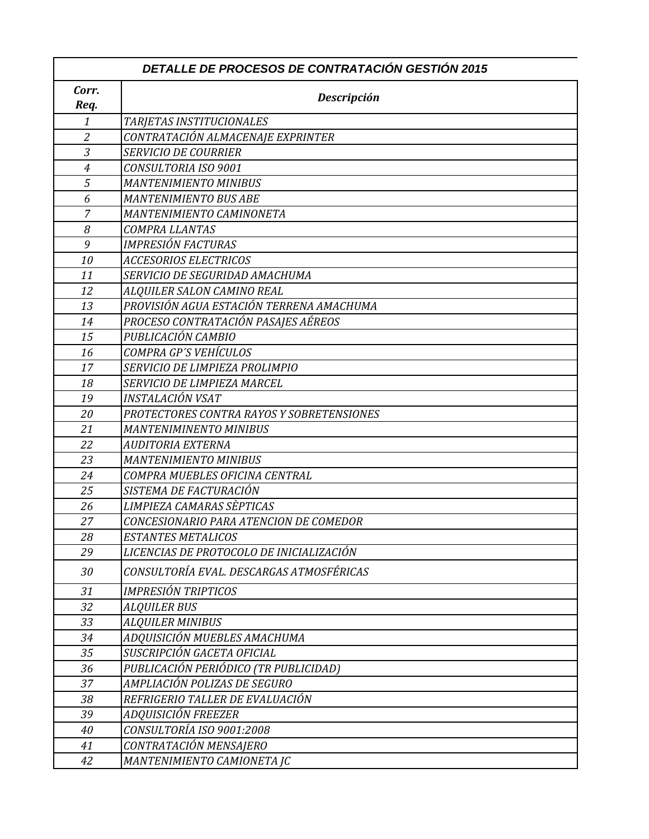| Corr.<br>Req.    | Descripción                               |
|------------------|-------------------------------------------|
| 1                | TARJETAS INSTITUCIONALES                  |
| $\overline{2}$   | CONTRATACIÓN ALMACENAJE EXPRINTER         |
| 3                | <b>SERVICIO DE COURRIER</b>               |
| $\boldsymbol{4}$ | CONSULTORIA ISO 9001                      |
| 5                | <b>MANTENIMIENTO MINIBUS</b>              |
| 6                | <b>MANTENIMIENTO BUS ABE</b>              |
| $\overline{7}$   | MANTENIMIENTO CAMINONETA                  |
| 8                | COMPRA LLANTAS                            |
| 9                | <b>IMPRESIÓN FACTURAS</b>                 |
| 10               | <b>ACCESORIOS ELECTRICOS</b>              |
| 11               | SERVICIO DE SEGURIDAD AMACHUMA            |
| 12               | ALQUILER SALON CAMINO REAL                |
| 13               | PROVISIÓN AGUA ESTACIÓN TERRENA AMACHUMA  |
| 14               | PROCESO CONTRATACIÓN PASAJES AÉREOS       |
| 15               | PUBLICACIÓN CAMBIO                        |
| 16               | COMPRA GP'S VEHÍCULOS                     |
| 17               | SERVICIO DE LIMPIEZA PROLIMPIO            |
| 18               | SERVICIO DE LIMPIEZA MARCEL               |
| 19               | INSTALACIÓN VSAT                          |
| 20               | PROTECTORES CONTRA RAYOS Y SOBRETENSIONES |
| 21               | <b>MANTENIMINENTO MINIBUS</b>             |
| 22               | <b>AUDITORIA EXTERNA</b>                  |
| 23               | <b>MANTENIMIENTO MINIBUS</b>              |
| 24               | COMPRA MUEBLES OFICINA CENTRAL            |
| 25               | SISTEMA DE FACTURACIÓN                    |
| 26               | LIMPIEZA CAMARAS SÈPTICAS                 |
| 27               | CONCESIONARIO PARA ATENCION DE COMEDOR    |
| 28               | ESTANTES METALICOS                        |
| 29               | LICENCIAS DE PROTOCOLO DE INICIALIZACIÓN  |
| 30               | CONSULTORÍA EVAL. DESCARGAS ATMOSFÉRICAS  |
| 31               | IMPRESIÓN TRIPTICOS                       |
| 32               | <b>ALQUILER BUS</b>                       |
| 33               | <b>ALQUILER MINIBUS</b>                   |
| 34               | ADQUISICIÓN MUEBLES AMACHUMA              |
| 35               | SUSCRIPCIÓN GACETA OFICIAL                |
| 36               | PUBLICACIÓN PERIÓDICO (TR PUBLICIDAD)     |
| 37               | AMPLIACIÓN POLIZAS DE SEGURO              |
| 38               | REFRIGERIO TALLER DE EVALUACIÓN           |
| 39               | ADQUISICIÓN FREEZER                       |
| 40               | CONSULTORÍA ISO 9001:2008                 |
| 41               | CONTRATACIÓN MENSAJERO                    |
| 42               | MANTENIMIENTO CAMIONETA JC                |

 $\Gamma$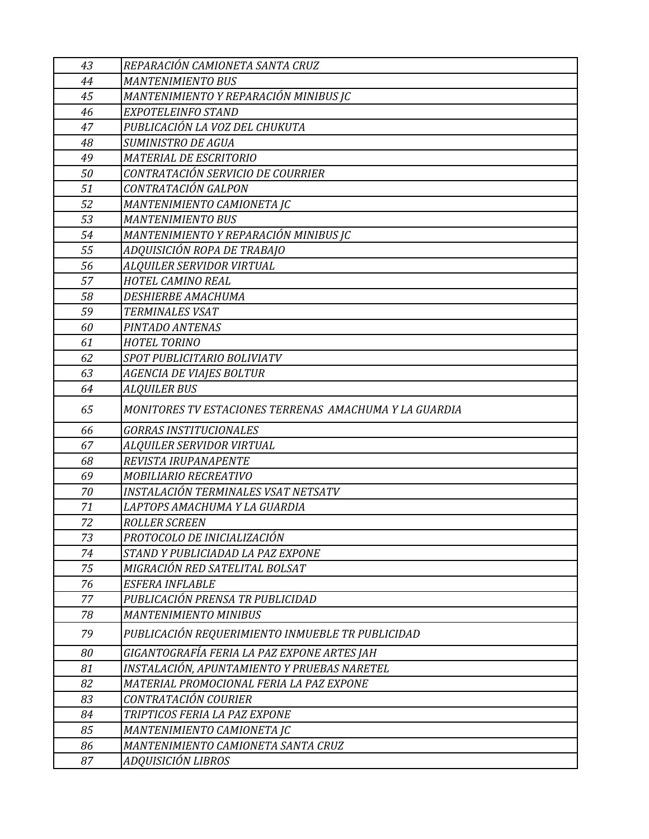| 43 | REPARACIÓN CAMIONETA SANTA CRUZ                        |
|----|--------------------------------------------------------|
| 44 | <b>MANTENIMIENTO BUS</b>                               |
| 45 | MANTENIMIENTO Y REPARACIÓN MINIBUS JC                  |
| 46 | EXPOTELEINFO STAND                                     |
| 47 | PUBLICACIÓN LA VOZ DEL CHUKUTA                         |
| 48 | <b>SUMINISTRO DE AGUA</b>                              |
| 49 | <b>MATERIAL DE ESCRITORIO</b>                          |
| 50 | CONTRATACIÓN SERVICIO DE COURRIER                      |
| 51 | CONTRATACIÓN GALPON                                    |
| 52 | MANTENIMIENTO CAMIONETA JC                             |
| 53 | <b>MANTENIMIENTO BUS</b>                               |
| 54 | MANTENIMIENTO Y REPARACIÓN MINIBUS JC                  |
| 55 | ADQUISICIÓN ROPA DE TRABAJO                            |
| 56 | ALQUILER SERVIDOR VIRTUAL                              |
| 57 | HOTEL CAMINO REAL                                      |
| 58 | <b>DESHIERBE AMACHUMA</b>                              |
| 59 | TERMINALES VSAT                                        |
| 60 | PINTADO ANTENAS                                        |
| 61 | <b>HOTEL TORINO</b>                                    |
| 62 | SPOT PUBLICITARIO BOLIVIATV                            |
| 63 | AGENCIA DE VIAJES BOLTUR                               |
| 64 | <b>ALQUILER BUS</b>                                    |
| 65 | MONITORES TV ESTACIONES TERRENAS AMACHUMA Y LA GUARDIA |
| 66 | <b>GORRAS INSTITUCIONALES</b>                          |
| 67 | ALQUILER SERVIDOR VIRTUAL                              |
| 68 | REVISTA IRUPANAPENTE                                   |
| 69 | MOBILIARIO RECREATIVO                                  |
| 70 | INSTALACIÓN TERMINALES VSAT NETSATV                    |
| 71 | LAPTOPS AMACHUMA Y LA GUARDIA                          |
| 72 | <b>ROLLER SCREEN</b>                                   |
| 73 | PROTOCOLO DE INICIALIZACIÓN                            |
| 74 | STAND Y PUBLICIADAD LA PAZ EXPONE                      |
| 75 | MIGRACIÓN RED SATELITAL BOLSAT                         |
| 76 | <b>ESFERA INFLABLE</b>                                 |
| 77 | PUBLICACIÓN PRENSA TR PUBLICIDAD                       |
| 78 | <b>MANTENIMIENTO MINIBUS</b>                           |
| 79 | PUBLICACIÓN REQUERIMIENTO INMUEBLE TR PUBLICIDAD       |
| 80 | GIGANTOGRAFÍA FERIA LA PAZ EXPONE ARTES JAH            |
| 81 | INSTALACIÓN, APUNTAMIENTO Y PRUEBAS NARETEL            |
| 82 | MATERIAL PROMOCIONAL FERIA LA PAZ EXPONE               |
| 83 | CONTRATACIÓN COURIER                                   |
| 84 | TRIPTICOS FERIA LA PAZ EXPONE                          |
| 85 | MANTENIMIENTO CAMIONETA JC                             |
| 86 | MANTENIMIENTO CAMIONETA SANTA CRUZ                     |
| 87 | ADQUISICIÓN LIBROS                                     |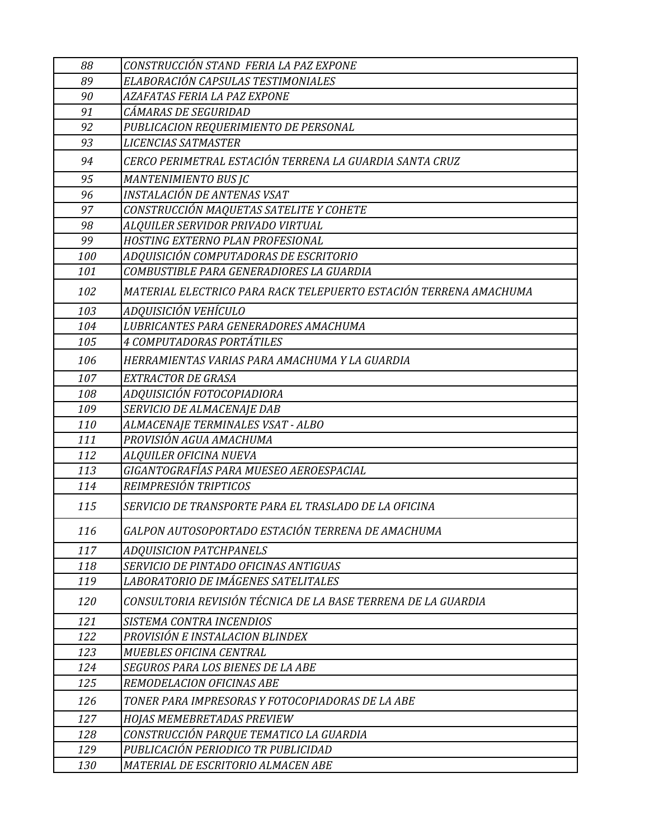| 88  | CONSTRUCCIÓN STAND FERIA LA PAZ EXPONE                            |
|-----|-------------------------------------------------------------------|
| 89  | ELABORACIÓN CAPSULAS TESTIMONIALES                                |
| 90  | AZAFATAS FERIA LA PAZ EXPONE                                      |
| 91  | CÁMARAS DE SEGURIDAD                                              |
| 92  | PUBLICACION REQUERIMIENTO DE PERSONAL                             |
| 93  | <b>LICENCIAS SATMASTER</b>                                        |
| 94  | CERCO PERIMETRAL ESTACIÓN TERRENA LA GUARDIA SANTA CRUZ           |
| 95  | MANTENIMIENTO BUS JC                                              |
| 96  | INSTALACIÓN DE ANTENAS VSAT                                       |
| 97  | CONSTRUCCIÓN MAQUETAS SATELITE Y COHETE                           |
| 98  | ALQUILER SERVIDOR PRIVADO VIRTUAL                                 |
| 99  | HOSTING EXTERNO PLAN PROFESIONAL                                  |
| 100 | ADQUISICIÓN COMPUTADORAS DE ESCRITORIO                            |
| 101 | COMBUSTIBLE PARA GENERADIORES LA GUARDIA                          |
| 102 | MATERIAL ELECTRICO PARA RACK TELEPUERTO ESTACIÓN TERRENA AMACHUMA |
| 103 | ADQUISICIÓN VEHÍCULO                                              |
| 104 | LUBRICANTES PARA GENERADORES AMACHUMA                             |
| 105 | <i>4 COMPUTADORAS PORTÁTILES</i>                                  |
| 106 | HERRAMIENTAS VARIAS PARA AMACHUMA Y LA GUARDIA                    |
| 107 | EXTRACTOR DE GRASA                                                |
| 108 | ADQUISICIÓN FOTOCOPIADIORA                                        |
| 109 | SERVICIO DE ALMACENAJE DAB                                        |
| 110 | ALMACENAJE TERMINALES VSAT - ALBO                                 |
| 111 | PROVISIÓN AGUA AMACHUMA                                           |
| 112 | ALQUILER OFICINA NUEVA                                            |
| 113 | GIGANTOGRAFÍAS PARA MUESEO AEROESPACIAL                           |
| 114 | REIMPRESIÓN TRIPTICOS                                             |
| 115 | SERVICIO DE TRANSPORTE PARA EL TRASLADO DE LA OFICINA             |
| 116 | GALPON AUTOSOPORTADO ESTACIÓN TERRENA DE AMACHUMA                 |
| 117 | <b>ADQUISICION PATCHPANELS</b>                                    |
| 118 | SERVICIO DE PINTADO OFICINAS ANTIGUAS                             |
| 119 | LABORATORIO DE IMÁGENES SATELITALES                               |
| 120 | CONSULTORIA REVISIÓN TÉCNICA DE LA BASE TERRENA DE LA GUARDIA     |
| 121 | SISTEMA CONTRA INCENDIOS                                          |
| 122 | PROVISIÓN E INSTALACION BLINDEX                                   |
| 123 | MUEBLES OFICINA CENTRAL                                           |
| 124 | SEGUROS PARA LOS BIENES DE LA ABE                                 |
| 125 | <b>REMODELACION OFICINAS ABE</b>                                  |
| 126 | TONER PARA IMPRESORAS Y FOTOCOPIADORAS DE LA ABE                  |
| 127 | <b>HOJAS MEMEBRETADAS PREVIEW</b>                                 |
| 128 | CONSTRUCCIÓN PARQUE TEMATICO LA GUARDIA                           |
| 129 | PUBLICACIÓN PERIODICO TR PUBLICIDAD                               |
| 130 | MATERIAL DE ESCRITORIO ALMACEN ABE                                |